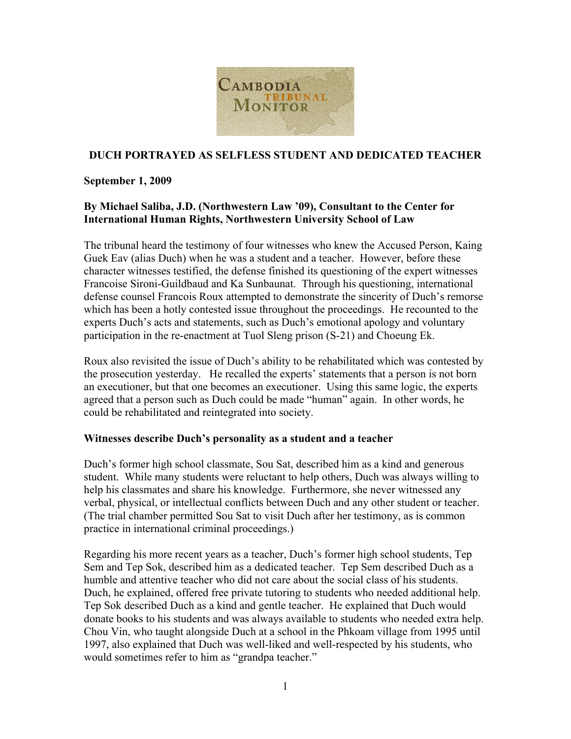

# **DUCH PORTRAYED AS SELFLESS STUDENT AND DEDICATED TEACHER**

#### **September 1, 2009**

# **By Michael Saliba, J.D. (Northwestern Law '09), Consultant to the Center for International Human Rights, Northwestern University School of Law**

The tribunal heard the testimony of four witnesses who knew the Accused Person, Kaing Guek Eav (alias Duch) when he was a student and a teacher. However, before these character witnesses testified, the defense finished its questioning of the expert witnesses Francoise Sironi-Guildbaud and Ka Sunbaunat. Through his questioning, international defense counsel Francois Roux attempted to demonstrate the sincerity of Duch's remorse which has been a hotly contested issue throughout the proceedings. He recounted to the experts Duch's acts and statements, such as Duch's emotional apology and voluntary participation in the re-enactment at Tuol Sleng prison (S-21) and Choeung Ek.

Roux also revisited the issue of Duch's ability to be rehabilitated which was contested by the prosecution yesterday. He recalled the experts' statements that a person is not born an executioner, but that one becomes an executioner. Using this same logic, the experts agreed that a person such as Duch could be made "human" again. In other words, he could be rehabilitated and reintegrated into society.

#### **Witnesses describe Duch's personality as a student and a teacher**

Duch's former high school classmate, Sou Sat, described him as a kind and generous student. While many students were reluctant to help others, Duch was always willing to help his classmates and share his knowledge. Furthermore, she never witnessed any verbal, physical, or intellectual conflicts between Duch and any other student or teacher. (The trial chamber permitted Sou Sat to visit Duch after her testimony, as is common practice in international criminal proceedings.)

Regarding his more recent years as a teacher, Duch's former high school students, Tep Sem and Tep Sok, described him as a dedicated teacher. Tep Sem described Duch as a humble and attentive teacher who did not care about the social class of his students. Duch, he explained, offered free private tutoring to students who needed additional help. Tep Sok described Duch as a kind and gentle teacher. He explained that Duch would donate books to his students and was always available to students who needed extra help. Chou Vin, who taught alongside Duch at a school in the Phkoam village from 1995 until 1997, also explained that Duch was well-liked and well-respected by his students, who would sometimes refer to him as "grandpa teacher."